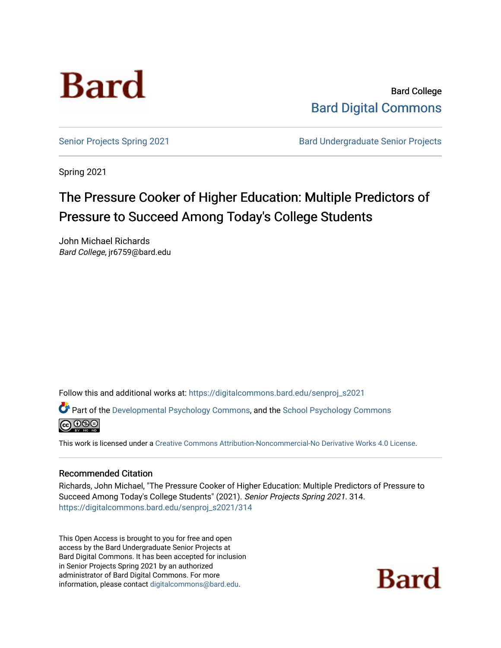

Bard College [Bard Digital Commons](https://digitalcommons.bard.edu/) 

[Senior Projects Spring 2021](https://digitalcommons.bard.edu/senproj_s2021) **Bard Undergraduate Senior Projects** 

Spring 2021

# The Pressure Cooker of Higher Education: Multiple Predictors of Pressure to Succeed Among Today's College Students

John Michael Richards Bard College, jr6759@bard.edu

Follow this and additional works at: [https://digitalcommons.bard.edu/senproj\\_s2021](https://digitalcommons.bard.edu/senproj_s2021?utm_source=digitalcommons.bard.edu%2Fsenproj_s2021%2F314&utm_medium=PDF&utm_campaign=PDFCoverPages)

Part of the [Developmental Psychology Commons,](http://network.bepress.com/hgg/discipline/410?utm_source=digitalcommons.bard.edu%2Fsenproj_s2021%2F314&utm_medium=PDF&utm_campaign=PDFCoverPages) and the [School Psychology Commons](http://network.bepress.com/hgg/discipline/1072?utm_source=digitalcommons.bard.edu%2Fsenproj_s2021%2F314&utm_medium=PDF&utm_campaign=PDFCoverPages)



This work is licensed under a [Creative Commons Attribution-Noncommercial-No Derivative Works 4.0 License.](https://creativecommons.org/licenses/by-nc-nd/4.0/)

#### Recommended Citation

Richards, John Michael, "The Pressure Cooker of Higher Education: Multiple Predictors of Pressure to Succeed Among Today's College Students" (2021). Senior Projects Spring 2021. 314. [https://digitalcommons.bard.edu/senproj\\_s2021/314](https://digitalcommons.bard.edu/senproj_s2021/314?utm_source=digitalcommons.bard.edu%2Fsenproj_s2021%2F314&utm_medium=PDF&utm_campaign=PDFCoverPages)

This Open Access is brought to you for free and open access by the Bard Undergraduate Senior Projects at Bard Digital Commons. It has been accepted for inclusion in Senior Projects Spring 2021 by an authorized administrator of Bard Digital Commons. For more information, please contact [digitalcommons@bard.edu.](mailto:digitalcommons@bard.edu)

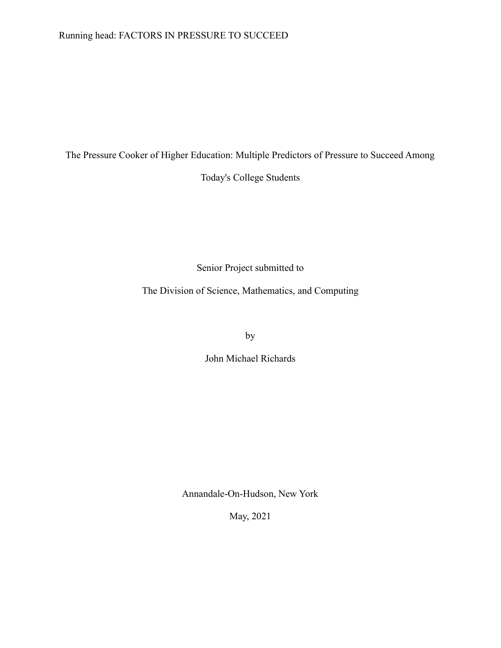## Running head: FACTORS IN PRESSURE TO SUCCEED

The Pressure Cooker of Higher Education: Multiple Predictors of Pressure to Succeed Among

Today's College Students

Senior Project submitted to

The Division of Science, Mathematics, and Computing

by

John Michael Richards

Annandale-On-Hudson, New York

May, 2021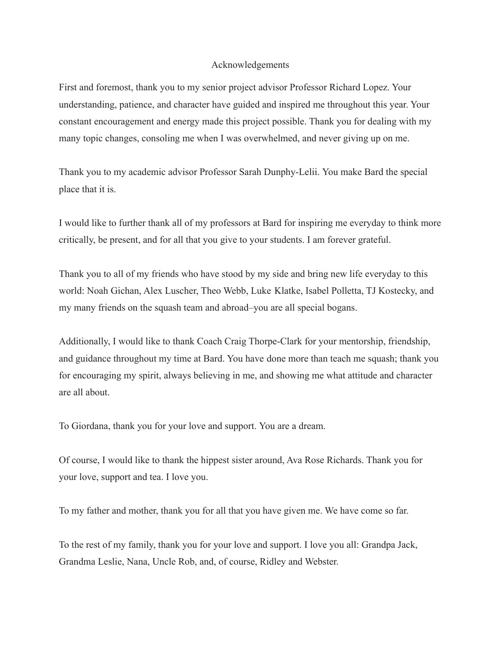#### Acknowledgements

First and foremost, thank you to my senior project advisor Professor Richard Lopez. Your understanding, patience, and character have guided and inspired me throughout this year. Your constant encouragement and energy made this project possible. Thank you for dealing with my many topic changes, consoling me when I was overwhelmed, and never giving up on me.

Thank you to my academic advisor Professor Sarah Dunphy-Lelii. You make Bard the special place that it is.

I would like to further thank all of my professors at Bard for inspiring me everyday to think more critically, be present, and for all that you give to your students. I am forever grateful.

Thank you to all of my friends who have stood by my side and bring new life everyday to this world: Noah Gichan, Alex Luscher, Theo Webb, Luke Klatke, Isabel Polletta, TJ Kostecky, and my many friends on the squash team and abroad–you are all special bogans.

Additionally, I would like to thank Coach Craig Thorpe-Clark for your mentorship, friendship, and guidance throughout my time at Bard. You have done more than teach me squash; thank you for encouraging my spirit, always believing in me, and showing me what attitude and character are all about.

To Giordana, thank you for your love and support. You are a dream.

Of course, I would like to thank the hippest sister around, Ava Rose Richards. Thank you for your love, support and tea. I love you.

To my father and mother, thank you for all that you have given me. We have come so far.

To the rest of my family, thank you for your love and support. I love you all: Grandpa Jack, Grandma Leslie, Nana, Uncle Rob, and, of course, Ridley and Webster.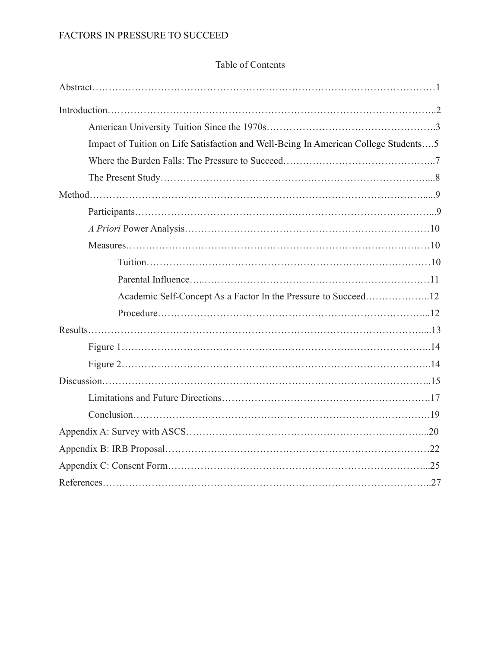## Table of Contents

| Impact of Tuition on Life Satisfaction and Well-Being In American College Students5 |
|-------------------------------------------------------------------------------------|
|                                                                                     |
|                                                                                     |
|                                                                                     |
|                                                                                     |
|                                                                                     |
|                                                                                     |
|                                                                                     |
|                                                                                     |
| Academic Self-Concept As a Factor In the Pressure to Succeed12                      |
|                                                                                     |
|                                                                                     |
|                                                                                     |
|                                                                                     |
|                                                                                     |
|                                                                                     |
|                                                                                     |
|                                                                                     |
|                                                                                     |
|                                                                                     |
|                                                                                     |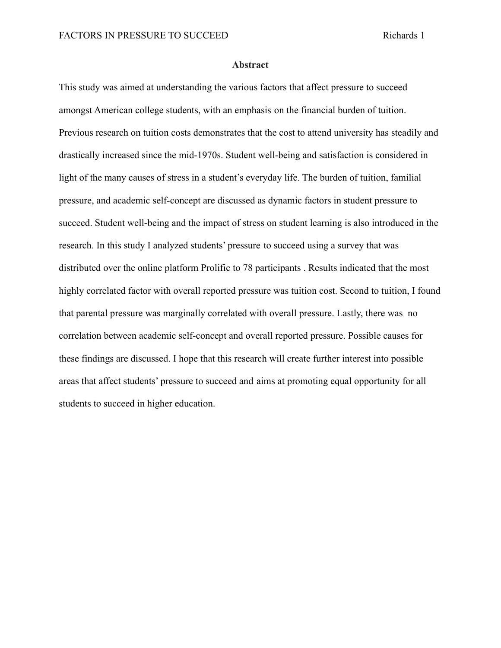#### **Abstract**

This study was aimed at understanding the various factors that affect pressure to succeed amongst American college students, with an emphasis on the financial burden of tuition. Previous research on tuition costs demonstrates that the cost to attend university has steadily and drastically increased since the mid-1970s. Student well-being and satisfaction is considered in light of the many causes of stress in a student's everyday life. The burden of tuition, familial pressure, and academic self-concept are discussed as dynamic factors in student pressure to succeed. Student well-being and the impact of stress on student learning is also introduced in the research. In this study I analyzed students' pressure to succeed using a survey that was distributed over the online platform Prolific to 78 participants . Results indicated that the most highly correlated factor with overall reported pressure was tuition cost. Second to tuition, I found that parental pressure was marginally correlated with overall pressure. Lastly, there was no correlation between academic self-concept and overall reported pressure. Possible causes for these findings are discussed. I hope that this research will create further interest into possible areas that affect students' pressure to succeed and aims at promoting equal opportunity for all students to succeed in higher education.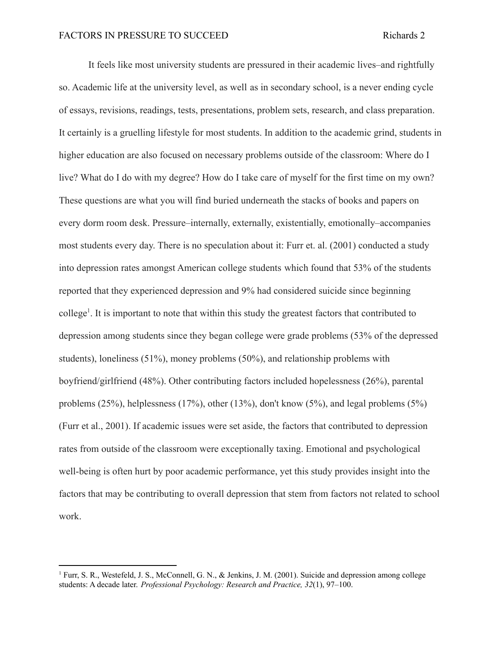It feels like most university students are pressured in their academic lives–and rightfully so. Academic life at the university level, as well as in secondary school, is a never ending cycle of essays, revisions, readings, tests, presentations, problem sets, research, and class preparation. It certainly is a gruelling lifestyle for most students. In addition to the academic grind, students in higher education are also focused on necessary problems outside of the classroom: Where do I live? What do I do with my degree? How do I take care of myself for the first time on my own? These questions are what you will find buried underneath the stacks of books and papers on every dorm room desk. Pressure–internally, externally, existentially, emotionally–accompanies most students every day. There is no speculation about it: Furr et. al. (2001) conducted a study into depression rates amongst American college students which found that 53% of the students reported that they experienced depression and 9% had considered suicide since beginning college<sup>1</sup>. It is important to note that within this study the greatest factors that contributed to depression among students since they began college were grade problems (53% of the depressed students), loneliness (51%), money problems (50%), and relationship problems with boyfriend/girlfriend (48%). Other contributing factors included hopelessness (26%), parental problems (25%), helplessness (17%), other (13%), don't know (5%), and legal problems (5%) (Furr et al., 2001). If academic issues were set aside, the factors that contributed to depression rates from outside of the classroom were exceptionally taxing. Emotional and psychological well-being is often hurt by poor academic performance, yet this study provides insight into the factors that may be contributing to overall depression that stem from factors not related to school work.

<sup>&</sup>lt;sup>1</sup> Furr, S. R., Westefeld, J. S., McConnell, G. N., & Jenkins, J. M. (2001). Suicide and depression among college students: A decade later. *Professional Psychology: Research and Practice, 32*(1), 97–100.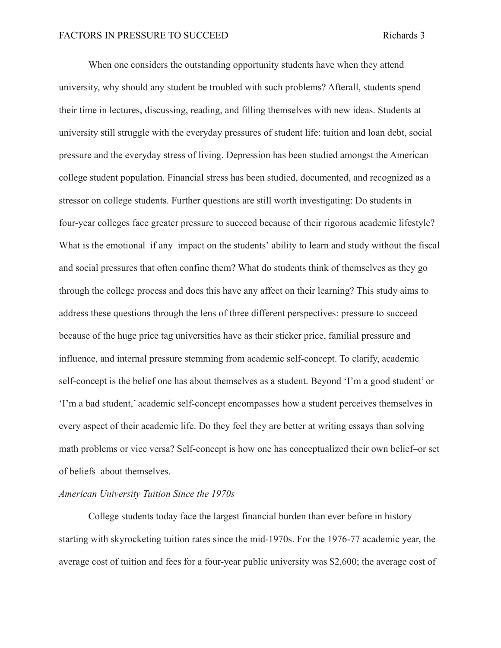When one considers the outstanding opportunity students have when they attend university, why should any student be troubled with such problems? Afterall, students spend their time in lectures, discussing, reading, and filling themselves with new ideas. Students at university still struggle with the everyday pressures of student life: tuition and loan debt, social pressure and the everyday stress of living. Depression has been studied amongst the American college student population. Financial stress has been studied, documented, and recognized as a stressor on college students. Further questions are still worth investigating: Do students in four-year colleges face greater pressure to succeed because of their rigorous academic lifestyle? What is the emotional–if any–impact on the students' ability to learn and study without the fiscal and social pressures that often confine them? What do students think of themselves as they go through the college process and does this have any affect on their learning? This study aims to address these questions through the lens of three different perspectives: pressure to succeed because of the huge price tag universities have as their sticker price, familial pressure and influence, and internal pressure stemming from academic self-concept. To clarify, academic self-concept is the belief one has about themselves as a student. Beyond 'I'm a good student' or 'I'm a bad student,' academic self-concept encompasses how a student perceives themselves in every aspect of their academic life. Do they feel they are better at writing essays than solving math problems or vice versa? Self-concept is how one has conceptualized their own belief–or set of beliefs–about themselves.

#### *American University Tuition Since the 1970s*

College students today face the largest financial burden than ever before in history starting with skyrocketing tuition rates since the mid-1970s. For the 1976-77 academic year, the average cost of tuition and fees for a four-year public university was \$2,600; the average cost of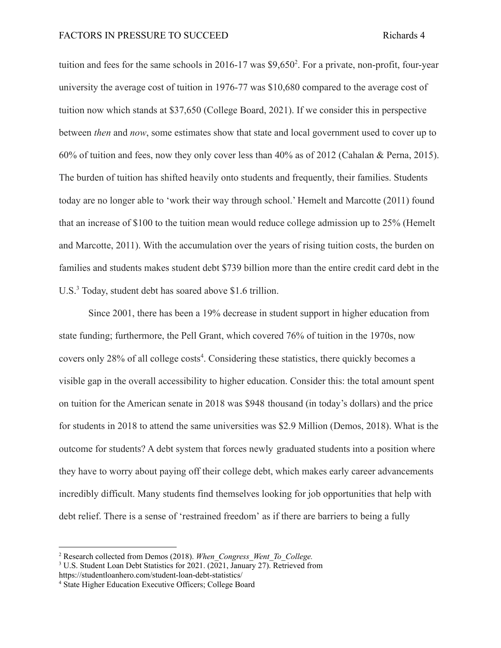tuition and fees for the same schools in 2016-17 was \$9,650<sup>2</sup>. For a private, non-profit, four-year university the average cost of tuition in 1976-77 was \$10,680 compared to the average cost of tuition now which stands at \$37,650 (College Board, 2021). If we consider this in perspective between *then* and *now*, some estimates show that state and local government used to cover up to 60% of tuition and fees, now they only cover less than 40% as of 2012 (Cahalan & Perna, 2015). The burden of tuition has shifted heavily onto students and frequently, their families. Students today are no longer able to 'work their way through school.' Hemelt and Marcotte (2011) found that an increase of \$100 to the tuition mean would reduce college admission up to 25% (Hemelt and Marcotte, 2011). With the accumulation over the years of rising tuition costs, the burden on families and students makes student debt \$739 billion more than the entire credit card debt in the U.S.<sup>3</sup> Today, student debt has soared above \$1.6 trillion.

Since 2001, there has been a 19% decrease in student support in higher education from state funding; furthermore, the Pell Grant, which covered 76% of tuition in the 1970s, now covers only 28% of all college costs<sup>4</sup>. Considering these statistics, there quickly becomes a visible gap in the overall accessibility to higher education. Consider this: the total amount spent on tuition for the American senate in 2018 was \$948 thousand (in today's dollars) and the price for students in 2018 to attend the same universities was \$2.9 Million (Demos, 2018). What is the outcome for students? A debt system that forces newly graduated students into a position where they have to worry about paying off their college debt, which makes early career advancements incredibly difficult. Many students find themselves looking for job opportunities that help with debt relief. There is a sense of 'restrained freedom' as if there are barriers to being a fully

<sup>2</sup> Research collected from Demos (2018). *When\_Congress\_Went\_To\_College.*

<sup>&</sup>lt;sup>3</sup> U.S. Student Loan Debt Statistics for 2021. (2021, January 27). Retrieved from https://studentloanhero.com/student-loan-debt-statistics/

<sup>4</sup> State Higher Education Executive Officers; College Board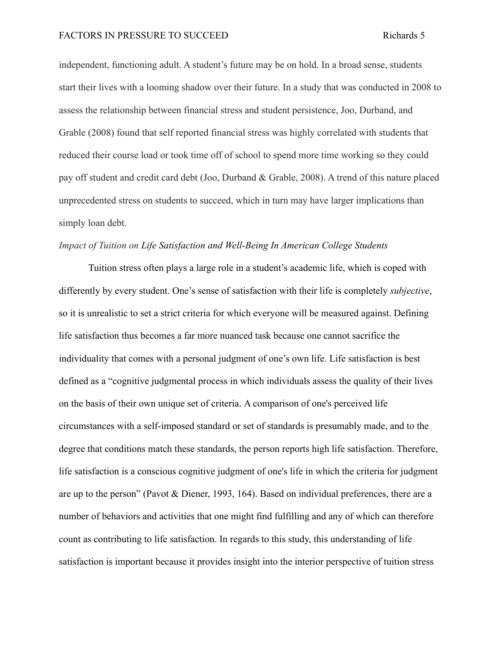independent, functioning adult. A student's future may be on hold. In a broad sense, students start their lives with a looming shadow over their future. In a study that was conducted in 2008 to assess the relationship between financial stress and student persistence, Joo, Durband, and Grable (2008) found that self reported financial stress was highly correlated with students that reduced their course load or took time off of school to spend more time working so they could pay off student and credit card debt (Joo, Durband & Grable, 2008). A trend of this nature placed unprecedented stress on students to succeed, which in turn may have larger implications than simply loan debt.

#### *Impact of Tuition on Life Satisfaction and Well-Being In American College Students*

Tuition stress often plays a large role in a student's academic life, which is coped with differently by every student. One's sense of satisfaction with their life is completely *subjective*, so it is unrealistic to set a strict criteria for which everyone will be measured against. Defining life satisfaction thus becomes a far more nuanced task because one cannot sacrifice the individuality that comes with a personal judgment of one's own life. Life satisfaction is best defined as a "cognitive judgmental process in which individuals assess the quality of their lives on the basis of their own unique set of criteria. A comparison of one's perceived life circumstances with a self-imposed standard or set of standards is presumably made, and to the degree that conditions match these standards, the person reports high life satisfaction. Therefore, life satisfaction is a conscious cognitive judgment of one's life in which the criteria for judgment are up to the person" (Pavot & Diener, 1993, 164). Based on individual preferences, there are a number of behaviors and activities that one might find fulfilling and any of which can therefore count as contributing to life satisfaction. In regards to this study, this understanding of life satisfaction is important because it provides insight into the interior perspective of tuition stress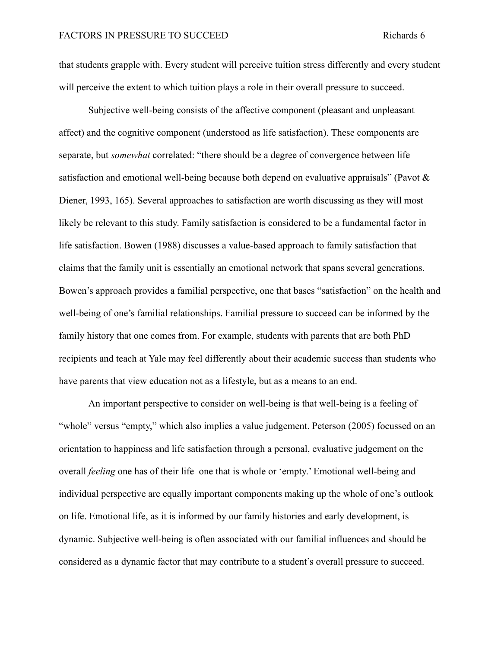that students grapple with. Every student will perceive tuition stress differently and every student will perceive the extent to which tuition plays a role in their overall pressure to succeed.

Subjective well-being consists of the affective component (pleasant and unpleasant affect) and the cognitive component (understood as life satisfaction). These components are separate, but *somewhat* correlated: "there should be a degree of convergence between life satisfaction and emotional well-being because both depend on evaluative appraisals" (Pavot  $\&$ Diener, 1993, 165). Several approaches to satisfaction are worth discussing as they will most likely be relevant to this study. Family satisfaction is considered to be a fundamental factor in life satisfaction. Bowen (1988) discusses a value-based approach to family satisfaction that claims that the family unit is essentially an emotional network that spans several generations. Bowen's approach provides a familial perspective, one that bases "satisfaction" on the health and well-being of one's familial relationships. Familial pressure to succeed can be informed by the family history that one comes from. For example, students with parents that are both PhD recipients and teach at Yale may feel differently about their academic success than students who have parents that view education not as a lifestyle, but as a means to an end.

An important perspective to consider on well-being is that well-being is a feeling of "whole" versus "empty," which also implies a value judgement. Peterson (2005) focussed on an orientation to happiness and life satisfaction through a personal, evaluative judgement on the overall *feeling* one has of their life–one that is whole or 'empty.' Emotional well-being and individual perspective are equally important components making up the whole of one's outlook on life. Emotional life, as it is informed by our family histories and early development, is dynamic. Subjective well-being is often associated with our familial influences and should be considered as a dynamic factor that may contribute to a student's overall pressure to succeed.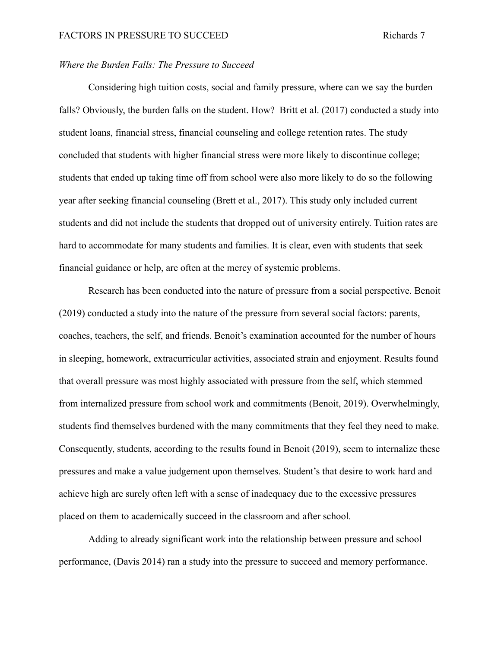## *Where the Burden Falls: The Pressure to Succeed*

Considering high tuition costs, social and family pressure, where can we say the burden falls? Obviously, the burden falls on the student. How? Britt et al. (2017) conducted a study into student loans, financial stress, financial counseling and college retention rates. The study concluded that students with higher financial stress were more likely to discontinue college; students that ended up taking time off from school were also more likely to do so the following year after seeking financial counseling (Brett et al., 2017). This study only included current students and did not include the students that dropped out of university entirely. Tuition rates are hard to accommodate for many students and families. It is clear, even with students that seek financial guidance or help, are often at the mercy of systemic problems.

Research has been conducted into the nature of pressure from a social perspective. Benoit (2019) conducted a study into the nature of the pressure from several social factors: parents, coaches, teachers, the self, and friends. Benoit's examination accounted for the number of hours in sleeping, homework, extracurricular activities, associated strain and enjoyment. Results found that overall pressure was most highly associated with pressure from the self, which stemmed from internalized pressure from school work and commitments (Benoit, 2019). Overwhelmingly, students find themselves burdened with the many commitments that they feel they need to make. Consequently, students, according to the results found in Benoit (2019), seem to internalize these pressures and make a value judgement upon themselves. Student's that desire to work hard and achieve high are surely often left with a sense of inadequacy due to the excessive pressures placed on them to academically succeed in the classroom and after school.

Adding to already significant work into the relationship between pressure and school performance, (Davis 2014) ran a study into the pressure to succeed and memory performance.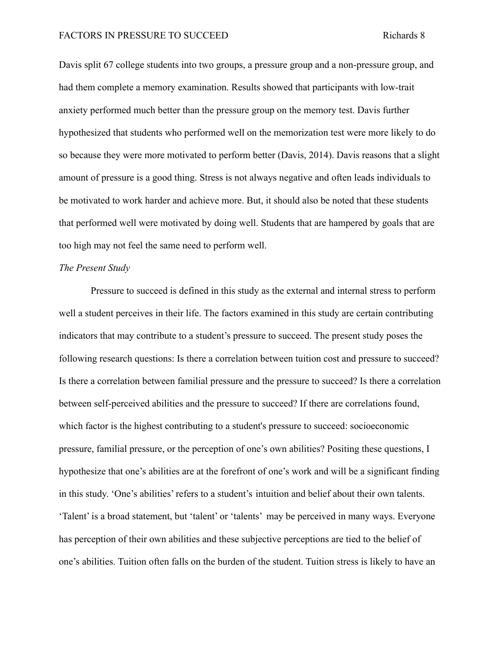#### FACTORS IN PRESSURE TO SUCCEED Richards 8

Davis split 67 college students into two groups, a pressure group and a non-pressure group, and had them complete a memory examination. Results showed that participants with low-trait anxiety performed much better than the pressure group on the memory test. Davis further hypothesized that students who performed well on the memorization test were more likely to do so because they were more motivated to perform better (Davis, 2014). Davis reasons that a slight amount of pressure is a good thing. Stress is not always negative and often leads individuals to be motivated to work harder and achieve more. But, it should also be noted that these students that performed well were motivated by doing well. Students that are hampered by goals that are too high may not feel the same need to perform well.

#### *The Present Study*

Pressure to succeed is defined in this study as the external and internal stress to perform well a student perceives in their life. The factors examined in this study are certain contributing indicators that may contribute to a student's pressure to succeed. The present study poses the following research questions: Is there a correlation between tuition cost and pressure to succeed? Is there a correlation between familial pressure and the pressure to succeed? Is there a correlation between self-perceived abilities and the pressure to succeed? If there are correlations found, which factor is the highest contributing to a student's pressure to succeed: socioeconomic pressure, familial pressure, or the perception of one's own abilities? Positing these questions, I hypothesize that one's abilities are at the forefront of one's work and will be a significant finding in this study. 'One's abilities' refers to a student's intuition and belief about their own talents. 'Talent' is a broad statement, but 'talent' or 'talents' may be perceived in many ways. Everyone has perception of their own abilities and these subjective perceptions are tied to the belief of one's abilities. Tuition often falls on the burden of the student. Tuition stress is likely to have an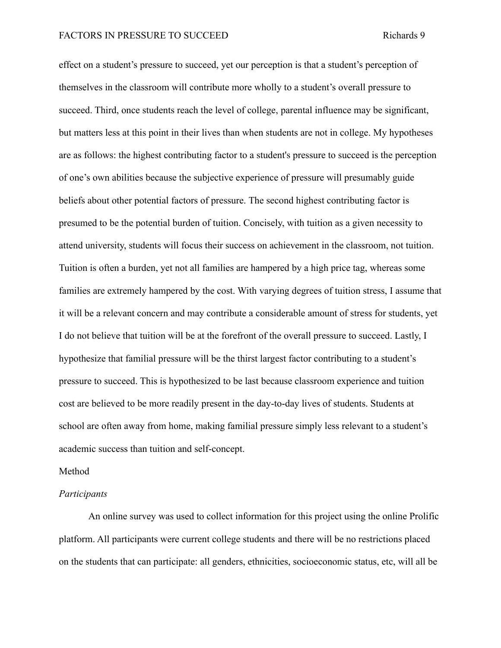effect on a student's pressure to succeed, yet our perception is that a student's perception of themselves in the classroom will contribute more wholly to a student's overall pressure to succeed. Third, once students reach the level of college, parental influence may be significant, but matters less at this point in their lives than when students are not in college. My hypotheses are as follows: the highest contributing factor to a student's pressure to succeed is the perception of one's own abilities because the subjective experience of pressure will presumably guide beliefs about other potential factors of pressure. The second highest contributing factor is presumed to be the potential burden of tuition. Concisely, with tuition as a given necessity to attend university, students will focus their success on achievement in the classroom, not tuition. Tuition is often a burden, yet not all families are hampered by a high price tag, whereas some families are extremely hampered by the cost. With varying degrees of tuition stress, I assume that it will be a relevant concern and may contribute a considerable amount of stress for students, yet I do not believe that tuition will be at the forefront of the overall pressure to succeed. Lastly, I hypothesize that familial pressure will be the thirst largest factor contributing to a student's pressure to succeed. This is hypothesized to be last because classroom experience and tuition cost are believed to be more readily present in the day-to-day lives of students. Students at school are often away from home, making familial pressure simply less relevant to a student's academic success than tuition and self-concept.

#### Method

#### *Participants*

An online survey was used to collect information for this project using the online Prolific platform. All participants were current college students and there will be no restrictions placed on the students that can participate: all genders, ethnicities, socioeconomic status, etc, will all be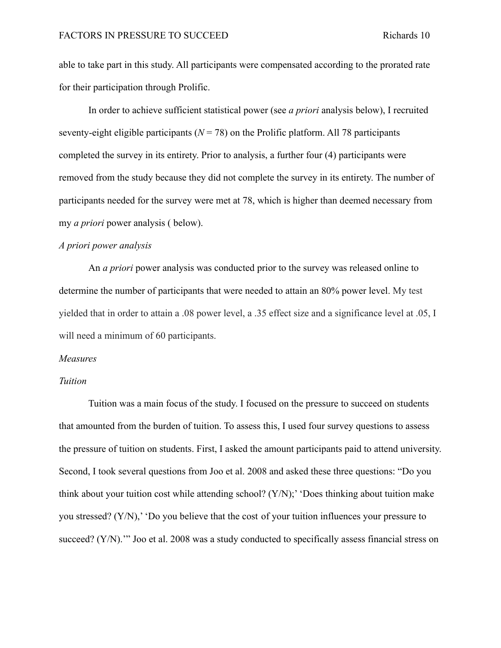able to take part in this study. All participants were compensated according to the prorated rate for their participation through Prolific.

In order to achieve sufficient statistical power (see *a priori* analysis below), I recruited seventy-eight eligible participants ( $N = 78$ ) on the Prolific platform. All 78 participants completed the survey in its entirety. Prior to analysis, a further four (4) participants were removed from the study because they did not complete the survey in its entirety. The number of participants needed for the survey were met at 78, which is higher than deemed necessary from my *a priori* power analysis ( below).

#### *A priori power analysis*

An *a priori* power analysis was conducted prior to the survey was released online to determine the number of participants that were needed to attain an 80% power level. My test yielded that in order to attain a .08 power level, a .35 effect size and a significance level at .05, I will need a minimum of 60 participants.

#### *Measures*

#### *Tuition*

Tuition was a main focus of the study. I focused on the pressure to succeed on students that amounted from the burden of tuition. To assess this, I used four survey questions to assess the pressure of tuition on students. First, I asked the amount participants paid to attend university. Second, I took several questions from Joo et al. 2008 and asked these three questions: "Do you think about your tuition cost while attending school? (Y/N);' 'Does thinking about tuition make you stressed? (Y/N),' 'Do you believe that the cost of your tuition influences your pressure to succeed? (Y/N).'" Joo et al. 2008 was a study conducted to specifically assess financial stress on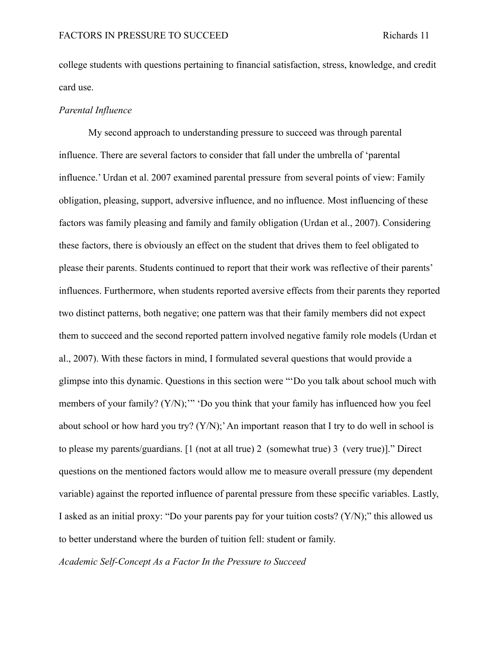college students with questions pertaining to financial satisfaction, stress, knowledge, and credit card use.

#### *Parental Influence*

My second approach to understanding pressure to succeed was through parental influence. There are several factors to consider that fall under the umbrella of 'parental influence.' Urdan et al. 2007 examined parental pressure from several points of view: Family obligation, pleasing, support, adversive influence, and no influence. Most influencing of these factors was family pleasing and family and family obligation (Urdan et al., 2007). Considering these factors, there is obviously an effect on the student that drives them to feel obligated to please their parents. Students continued to report that their work was reflective of their parents' influences. Furthermore, when students reported aversive effects from their parents they reported two distinct patterns, both negative; one pattern was that their family members did not expect them to succeed and the second reported pattern involved negative family role models (Urdan et al., 2007). With these factors in mind, I formulated several questions that would provide a glimpse into this dynamic. Questions in this section were "'Do you talk about school much with members of your family? (Y/N);" 'Do you think that your family has influenced how you feel about school or how hard you try? (Y/N);'An important reason that I try to do well in school is to please my parents/guardians. [1 (not at all true) 2 (somewhat true) 3 (very true)]." Direct questions on the mentioned factors would allow me to measure overall pressure (my dependent variable) against the reported influence of parental pressure from these specific variables. Lastly, I asked as an initial proxy: "Do your parents pay for your tuition costs?  $(Y/N)$ ;" this allowed us to better understand where the burden of tuition fell: student or family.

*Academic Self-Concept As a Factor In the Pressure to Succeed*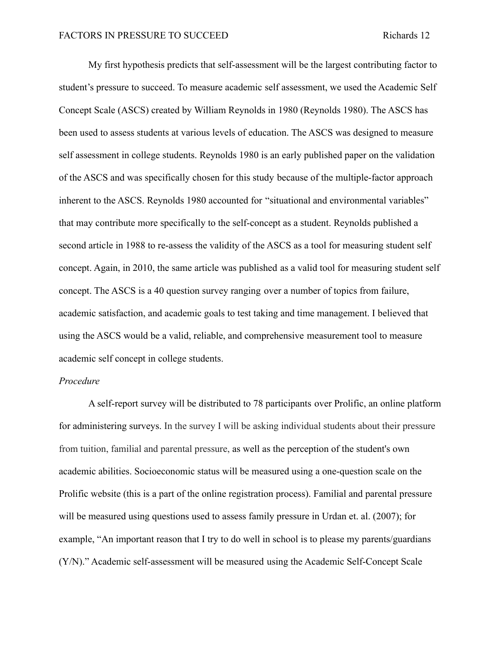My first hypothesis predicts that self-assessment will be the largest contributing factor to student's pressure to succeed. To measure academic self assessment, we used the Academic Self Concept Scale (ASCS) created by William Reynolds in 1980 (Reynolds 1980). The ASCS has been used to assess students at various levels of education. The ASCS was designed to measure self assessment in college students. Reynolds 1980 is an early published paper on the validation of the ASCS and was specifically chosen for this study because of the multiple-factor approach inherent to the ASCS. Reynolds 1980 accounted for "situational and environmental variables" that may contribute more specifically to the self-concept as a student. Reynolds published a second article in 1988 to re-assess the validity of the ASCS as a tool for measuring student self concept. Again, in 2010, the same article was published as a valid tool for measuring student self concept. The ASCS is a 40 question survey ranging over a number of topics from failure, academic satisfaction, and academic goals to test taking and time management. I believed that using the ASCS would be a valid, reliable, and comprehensive measurement tool to measure academic self concept in college students.

#### *Procedure*

A self-report survey will be distributed to 78 participants over Prolific, an online platform for administering surveys. In the survey I will be asking individual students about their pressure from tuition, familial and parental pressure, as well as the perception of the student's own academic abilities. Socioeconomic status will be measured using a one-question scale on the Prolific website (this is a part of the online registration process). Familial and parental pressure will be measured using questions used to assess family pressure in Urdan et. al. (2007); for example, "An important reason that I try to do well in school is to please my parents/guardians (Y/N)." Academic self-assessment will be measured using the Academic Self-Concept Scale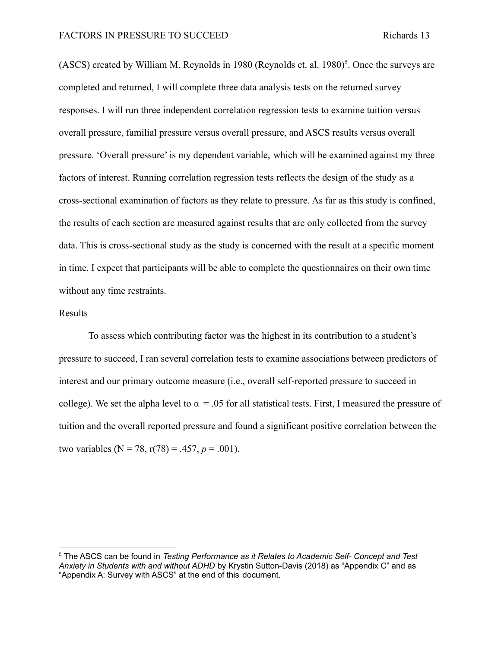$(ASCS)$  created by William M. Reynolds in 1980 (Reynolds et. al. 1980)<sup>5</sup>. Once the surveys are completed and returned, I will complete three data analysis tests on the returned survey responses. I will run three independent correlation regression tests to examine tuition versus overall pressure, familial pressure versus overall pressure, and ASCS results versus overall pressure. 'Overall pressure' is my dependent variable, which will be examined against my three factors of interest. Running correlation regression tests reflects the design of the study as a cross-sectional examination of factors as they relate to pressure. As far as this study is confined, the results of each section are measured against results that are only collected from the survey data. This is cross-sectional study as the study is concerned with the result at a specific moment in time. I expect that participants will be able to complete the questionnaires on their own time without any time restraints.

#### Results

To assess which contributing factor was the highest in its contribution to a student's pressure to succeed, I ran several correlation tests to examine associations between predictors of interest and our primary outcome measure (i.e., overall self-reported pressure to succeed in college). We set the alpha level to  $\alpha = 0.05$  for all statistical tests. First, I measured the pressure of tuition and the overall reported pressure and found a significant positive correlation between the two variables ( $N = 78$ ,  $r(78) = .457$ ,  $p = .001$ ).

<sup>5</sup> The ASCS can be found in *Testing Performance as it Relates to Academic Self- Concept and Test Anxiety in Students with and without ADHD* by Krystin Sutton-Davis (2018) as "Appendix C" and as "Appendix A: Survey with ASCS" at the end of this document.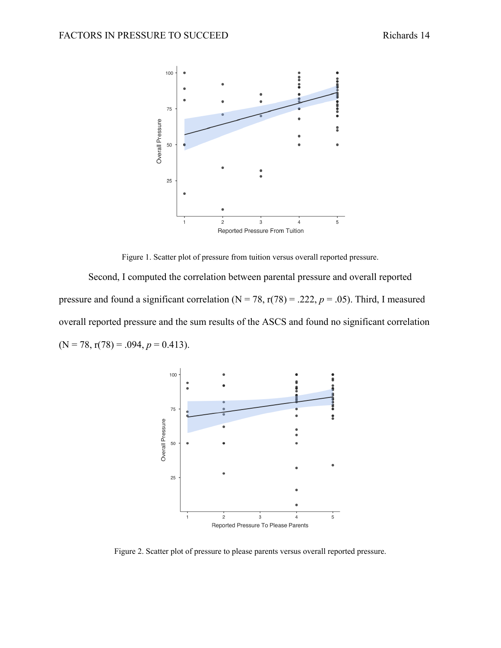

Figure 1. Scatter plot of pressure from tuition versus overall reported pressure.

Second, I computed the correlation between parental pressure and overall reported pressure and found a significant correlation ( $N = 78$ ,  $r(78) = .222$ ,  $p = .05$ ). Third, I measured overall reported pressure and the sum results of the ASCS and found no significant correlation  $(N = 78, r(78) = .094, p = 0.413).$ 



Figure 2. Scatter plot of pressure to please parents versus overall reported pressure.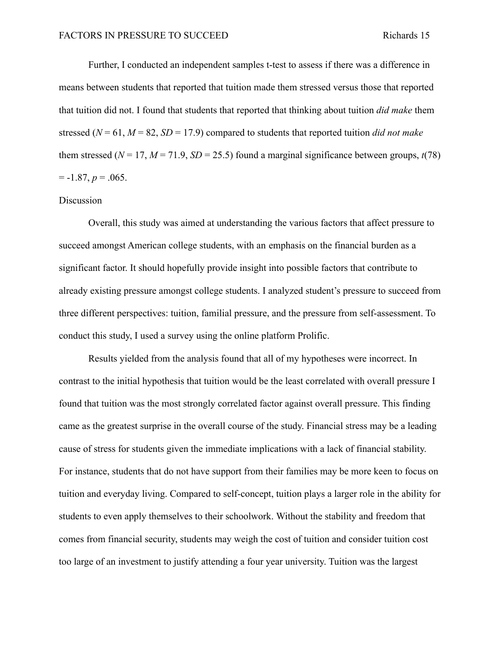Further, I conducted an independent samples t-test to assess if there was a difference in means between students that reported that tuition made them stressed versus those that reported that tuition did not. I found that students that reported that thinking about tuition *did make* them stressed ( $N = 61$ ,  $M = 82$ ,  $SD = 17.9$ ) compared to students that reported tuition *did not make* them stressed ( $N = 17$ ,  $M = 71.9$ ,  $SD = 25.5$ ) found a marginal significance between groups,  $t(78)$  $= -1.87, p = .065.$ 

#### Discussion

Overall, this study was aimed at understanding the various factors that affect pressure to succeed amongst American college students, with an emphasis on the financial burden as a significant factor. It should hopefully provide insight into possible factors that contribute to already existing pressure amongst college students. I analyzed student's pressure to succeed from three different perspectives: tuition, familial pressure, and the pressure from self-assessment. To conduct this study, I used a survey using the online platform Prolific.

Results yielded from the analysis found that all of my hypotheses were incorrect. In contrast to the initial hypothesis that tuition would be the least correlated with overall pressure I found that tuition was the most strongly correlated factor against overall pressure. This finding came as the greatest surprise in the overall course of the study. Financial stress may be a leading cause of stress for students given the immediate implications with a lack of financial stability. For instance, students that do not have support from their families may be more keen to focus on tuition and everyday living. Compared to self-concept, tuition plays a larger role in the ability for students to even apply themselves to their schoolwork. Without the stability and freedom that comes from financial security, students may weigh the cost of tuition and consider tuition cost too large of an investment to justify attending a four year university. Tuition was the largest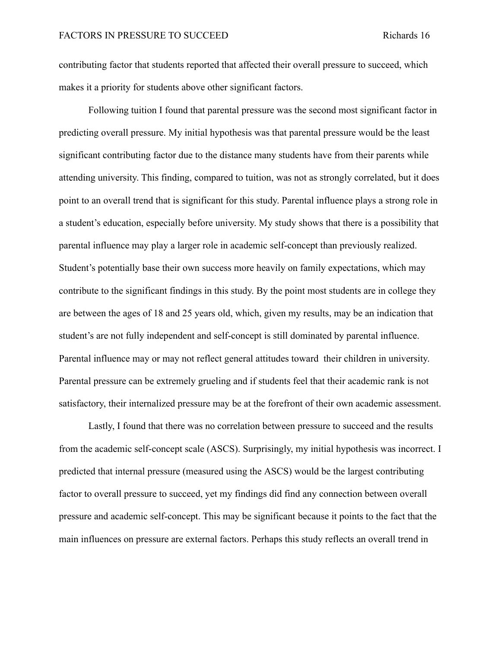contributing factor that students reported that affected their overall pressure to succeed, which makes it a priority for students above other significant factors.

Following tuition I found that parental pressure was the second most significant factor in predicting overall pressure. My initial hypothesis was that parental pressure would be the least significant contributing factor due to the distance many students have from their parents while attending university. This finding, compared to tuition, was not as strongly correlated, but it does point to an overall trend that is significant for this study. Parental influence plays a strong role in a student's education, especially before university. My study shows that there is a possibility that parental influence may play a larger role in academic self-concept than previously realized. Student's potentially base their own success more heavily on family expectations, which may contribute to the significant findings in this study. By the point most students are in college they are between the ages of 18 and 25 years old, which, given my results, may be an indication that student's are not fully independent and self-concept is still dominated by parental influence. Parental influence may or may not reflect general attitudes toward their children in university. Parental pressure can be extremely grueling and if students feel that their academic rank is not satisfactory, their internalized pressure may be at the forefront of their own academic assessment.

Lastly, I found that there was no correlation between pressure to succeed and the results from the academic self-concept scale (ASCS). Surprisingly, my initial hypothesis was incorrect. I predicted that internal pressure (measured using the ASCS) would be the largest contributing factor to overall pressure to succeed, yet my findings did find any connection between overall pressure and academic self-concept. This may be significant because it points to the fact that the main influences on pressure are external factors. Perhaps this study reflects an overall trend in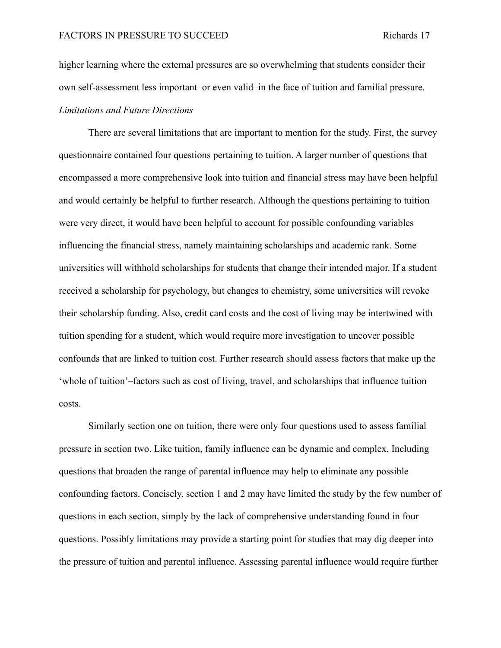higher learning where the external pressures are so overwhelming that students consider their own self-assessment less important–or even valid–in the face of tuition and familial pressure. *Limitations and Future Directions*

There are several limitations that are important to mention for the study. First, the survey questionnaire contained four questions pertaining to tuition. A larger number of questions that encompassed a more comprehensive look into tuition and financial stress may have been helpful and would certainly be helpful to further research. Although the questions pertaining to tuition were very direct, it would have been helpful to account for possible confounding variables influencing the financial stress, namely maintaining scholarships and academic rank. Some universities will withhold scholarships for students that change their intended major. If a student received a scholarship for psychology, but changes to chemistry, some universities will revoke their scholarship funding. Also, credit card costs and the cost of living may be intertwined with tuition spending for a student, which would require more investigation to uncover possible confounds that are linked to tuition cost. Further research should assess factors that make up the 'whole of tuition'–factors such as cost of living, travel, and scholarships that influence tuition costs.

Similarly section one on tuition, there were only four questions used to assess familial pressure in section two. Like tuition, family influence can be dynamic and complex. Including questions that broaden the range of parental influence may help to eliminate any possible confounding factors. Concisely, section 1 and 2 may have limited the study by the few number of questions in each section, simply by the lack of comprehensive understanding found in four questions. Possibly limitations may provide a starting point for studies that may dig deeper into the pressure of tuition and parental influence. Assessing parental influence would require further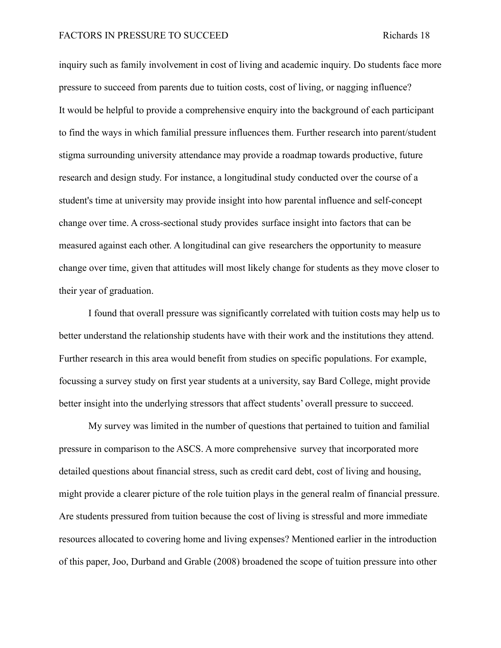#### FACTORS IN PRESSURE TO SUCCEED Richards 18

inquiry such as family involvement in cost of living and academic inquiry. Do students face more pressure to succeed from parents due to tuition costs, cost of living, or nagging influence? It would be helpful to provide a comprehensive enquiry into the background of each participant to find the ways in which familial pressure influences them. Further research into parent/student stigma surrounding university attendance may provide a roadmap towards productive, future research and design study. For instance, a longitudinal study conducted over the course of a student's time at university may provide insight into how parental influence and self-concept change over time. A cross-sectional study provides surface insight into factors that can be measured against each other. A longitudinal can give researchers the opportunity to measure change over time, given that attitudes will most likely change for students as they move closer to their year of graduation.

I found that overall pressure was significantly correlated with tuition costs may help us to better understand the relationship students have with their work and the institutions they attend. Further research in this area would benefit from studies on specific populations. For example, focussing a survey study on first year students at a university, say Bard College, might provide better insight into the underlying stressors that affect students' overall pressure to succeed.

My survey was limited in the number of questions that pertained to tuition and familial pressure in comparison to the ASCS. A more comprehensive survey that incorporated more detailed questions about financial stress, such as credit card debt, cost of living and housing, might provide a clearer picture of the role tuition plays in the general realm of financial pressure. Are students pressured from tuition because the cost of living is stressful and more immediate resources allocated to covering home and living expenses? Mentioned earlier in the introduction of this paper, Joo, Durband and Grable (2008) broadened the scope of tuition pressure into other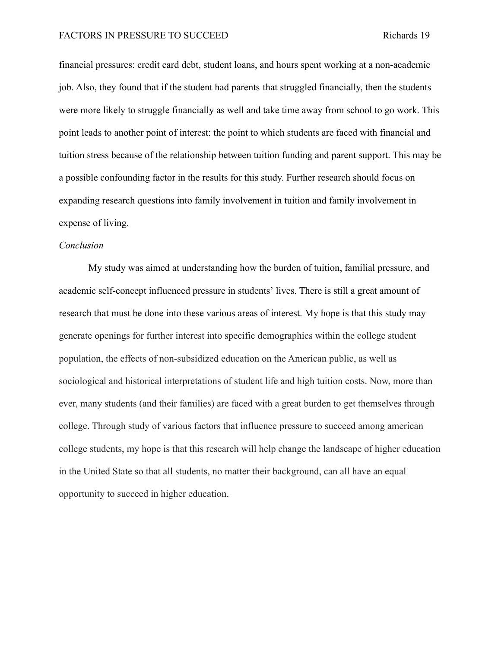financial pressures: credit card debt, student loans, and hours spent working at a non-academic job. Also, they found that if the student had parents that struggled financially, then the students were more likely to struggle financially as well and take time away from school to go work. This point leads to another point of interest: the point to which students are faced with financial and tuition stress because of the relationship between tuition funding and parent support. This may be a possible confounding factor in the results for this study. Further research should focus on expanding research questions into family involvement in tuition and family involvement in expense of living.

#### *Conclusion*

My study was aimed at understanding how the burden of tuition, familial pressure, and academic self-concept influenced pressure in students' lives. There is still a great amount of research that must be done into these various areas of interest. My hope is that this study may generate openings for further interest into specific demographics within the college student population, the effects of non-subsidized education on the American public, as well as sociological and historical interpretations of student life and high tuition costs. Now, more than ever, many students (and their families) are faced with a great burden to get themselves through college. Through study of various factors that influence pressure to succeed among american college students, my hope is that this research will help change the landscape of higher education in the United State so that all students, no matter their background, can all have an equal opportunity to succeed in higher education.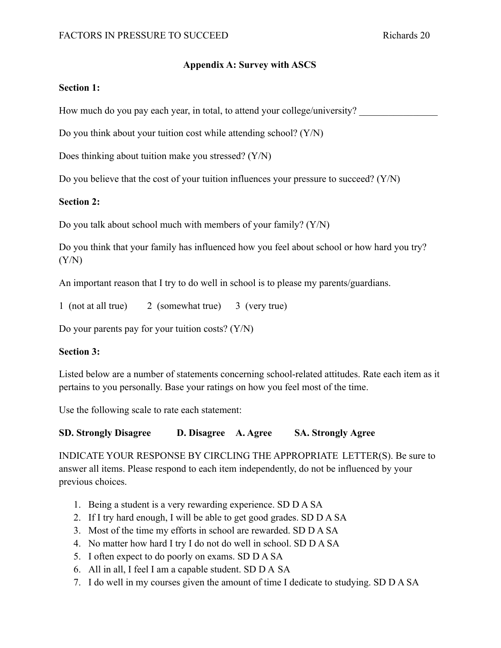## **Appendix A: Survey with ASCS**

## **Section 1:**

How much do you pay each year, in total, to attend your college/university?

Do you think about your tuition cost while attending school? (Y/N)

Does thinking about tuition make you stressed? (Y/N)

Do you believe that the cost of your tuition influences your pressure to succeed?  $(Y/N)$ 

## **Section 2:**

Do you talk about school much with members of your family? (Y/N)

Do you think that your family has influenced how you feel about school or how hard you try?  $(Y/N)$ 

An important reason that I try to do well in school is to please my parents/guardians.

1 (not at all true) 2 (somewhat true) 3 (very true)

Do your parents pay for your tuition costs? (Y/N)

### **Section 3:**

Listed below are a number of statements concerning school-related attitudes. Rate each item as it pertains to you personally. Base your ratings on how you feel most of the time.

Use the following scale to rate each statement:

### **SD. Strongly Disagree D. Disagree A. Agree SA. Strongly Agree**

INDICATE YOUR RESPONSE BY CIRCLING THE APPROPRIATE LETTER(S). Be sure to answer all items. Please respond to each item independently, do not be influenced by your previous choices.

- 1. Being a student is a very rewarding experience. SD D A SA
- 2. If I try hard enough, I will be able to get good grades. SD D A SA
- 3. Most of the time my efforts in school are rewarded. SD D A SA
- 4. No matter how hard I try I do not do well in school. SD D A SA
- 5. I often expect to do poorly on exams. SD D A SA
- 6. All in all, I feel I am a capable student. SD D A SA
- 7. I do well in my courses given the amount of time I dedicate to studying. SD D A SA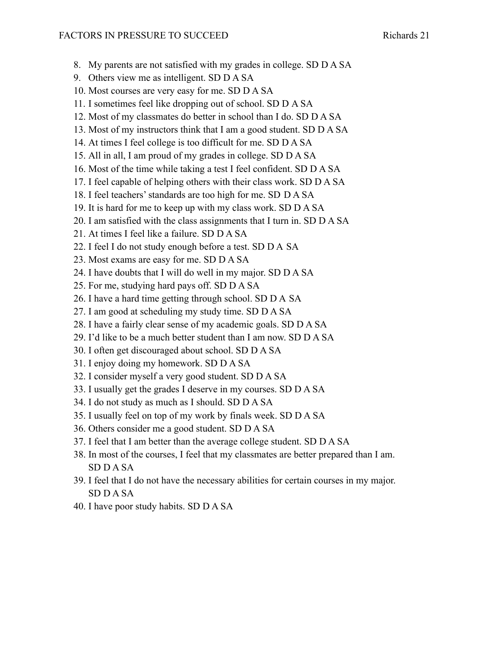- 8. My parents are not satisfied with my grades in college. SD D A SA
- 9. Others view me as intelligent. SD D A SA
- 10. Most courses are very easy for me. SD D A SA
- 11. I sometimes feel like dropping out of school. SD D A SA
- 12. Most of my classmates do better in school than I do. SD D A SA
- 13. Most of my instructors think that I am a good student. SD D A SA
- 14. At times I feel college is too difficult for me. SD D A SA
- 15. All in all, I am proud of my grades in college. SD D A SA
- 16. Most of the time while taking a test I feel confident. SD D A SA
- 17. I feel capable of helping others with their class work. SD D A SA
- 18. I feel teachers' standards are too high for me. SD D A SA
- 19. It is hard for me to keep up with my class work. SD D A SA
- 20. I am satisfied with the class assignments that I turn in. SD D A SA
- 21. At times I feel like a failure. SD D A SA
- 22. I feel I do not study enough before a test. SD D A SA
- 23. Most exams are easy for me. SD D A SA
- 24. I have doubts that I will do well in my major. SD D A SA
- 25. For me, studying hard pays off. SD D A SA
- 26. I have a hard time getting through school. SD D A SA
- 27. I am good at scheduling my study time. SD D A SA
- 28. I have a fairly clear sense of my academic goals. SD D A SA
- 29. I'd like to be a much better student than I am now. SD D A SA
- 30. I often get discouraged about school. SD D A SA
- 31. I enjoy doing my homework. SD D A SA
- 32. I consider myself a very good student. SD D A SA
- 33. I usually get the grades I deserve in my courses. SD D A SA
- 34. I do not study as much as I should. SD D A SA
- 35. I usually feel on top of my work by finals week. SD D A SA
- 36. Others consider me a good student. SD D A SA
- 37. I feel that I am better than the average college student. SD D A SA
- 38. In most of the courses, I feel that my classmates are better prepared than I am. SD D A SA
- 39. I feel that I do not have the necessary abilities for certain courses in my major. SD D A SA
- 40. I have poor study habits. SD D A SA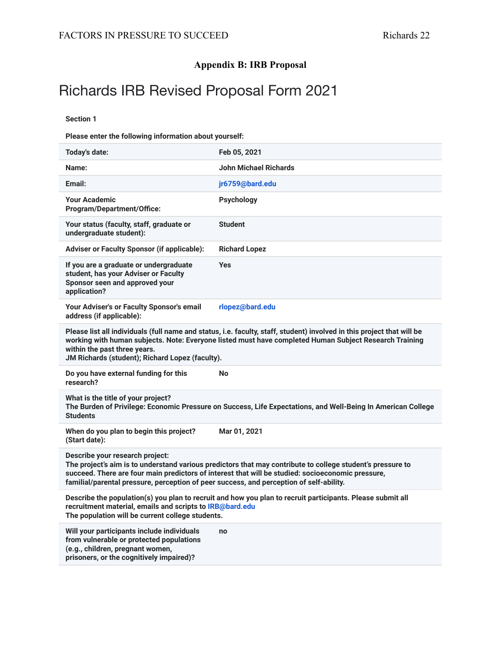## **Appendix B: IRB Proposal**

# Richards IRB Revised Proposal Form 2021

**Section 1**

**Please enter the following information about yourself:**

| Today's date:                                                                                                                                                                                                                                                                                                                                 | Feb 05, 2021                                                                                               |
|-----------------------------------------------------------------------------------------------------------------------------------------------------------------------------------------------------------------------------------------------------------------------------------------------------------------------------------------------|------------------------------------------------------------------------------------------------------------|
| Name:                                                                                                                                                                                                                                                                                                                                         | <b>John Michael Richards</b>                                                                               |
| Email:                                                                                                                                                                                                                                                                                                                                        | jr6759@bard.edu                                                                                            |
| <b>Your Academic</b><br><b>Program/Department/Office:</b>                                                                                                                                                                                                                                                                                     | <b>Psychology</b>                                                                                          |
| Your status (faculty, staff, graduate or<br>undergraduate student):                                                                                                                                                                                                                                                                           | <b>Student</b>                                                                                             |
| <b>Adviser or Faculty Sponsor (if applicable):</b>                                                                                                                                                                                                                                                                                            | <b>Richard Lopez</b>                                                                                       |
| If you are a graduate or undergraduate<br>student, has your Adviser or Faculty<br>Sponsor seen and approved your<br>application?                                                                                                                                                                                                              | <b>Yes</b>                                                                                                 |
| Your Adviser's or Faculty Sponsor's email<br>address (if applicable):                                                                                                                                                                                                                                                                         | rlopez@bard.edu                                                                                            |
| Please list all individuals (full name and status, i.e. faculty, staff, student) involved in this project that will be<br>working with human subjects. Note: Everyone listed must have completed Human Subject Research Training<br>within the past three years.<br>JM Richards (student); Richard Lopez (faculty).                           |                                                                                                            |
| Do you have external funding for this<br>research?                                                                                                                                                                                                                                                                                            | No                                                                                                         |
| What is the title of your project?<br>The Burden of Privilege: Economic Pressure on Success, Life Expectations, and Well-Being In American College<br><b>Students</b>                                                                                                                                                                         |                                                                                                            |
| When do you plan to begin this project?<br>(Start date):                                                                                                                                                                                                                                                                                      | Mar 01, 2021                                                                                               |
| Describe your research project:<br>The project's aim is to understand various predictors that may contribute to college student's pressure to<br>succeed. There are four main predictors of interest that will be studied: socioeconomic pressure,<br>familial/parental pressure, perception of peer success, and perception of self-ability. |                                                                                                            |
|                                                                                                                                                                                                                                                                                                                                               |                                                                                                            |
| recruitment material, emails and scripts to IRB@bard.edu<br>The population will be current college students.                                                                                                                                                                                                                                  | Describe the population(s) you plan to recruit and how you plan to recruit participants. Please submit all |
| Will your participants include individuals<br>from vulnerable or protected populations<br>(e.g., children, pregnant women,<br>prisoners, or the cognitively impaired)?                                                                                                                                                                        | no                                                                                                         |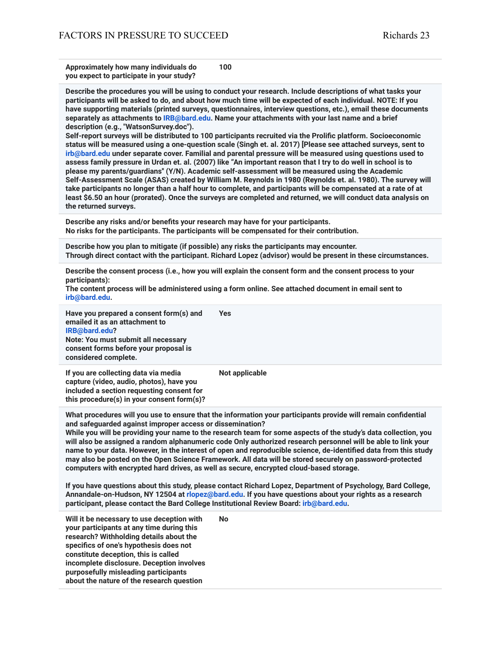**Approximately how many individuals do you expect to participate in your study? 100**

**Describe the procedures you will be using to conduct your research. Include descriptions of what tasks your participants will be asked to do, and about how much time will be expected of each individual. NOTE: If you have supporting materials (printed surveys, questionnaires, interview questions, etc.), email these documents separately as attachments to IRB@bard.edu. Name your attachments with your last name and a brief description (e.g., "WatsonSurvey.doc").**

**Self-report surveys will be distributed to 100 participants recruited via the Prolific platform. Socioeconomic status will be measured using a one-question scale (Singh et. al. 2017) [Please see attached surveys, sent to irb@bard.edu under separate cover. Familial and parental pressure will be measured using questions used to assess family pressure in Urdan et. al. (2007) like "An important reason that I try to do well in school is to please my parents/guardians'' (Y/N). Academic self-assessment will be measured using the Academic Self-Assessment Scale (ASAS) created by William M. Reynolds in 1980 (Reynolds et. al. 1980). The survey will take participants no longer than a half hour to complete, and participants will be compensated at a rate of at least \$6.50 an hour (prorated). Once the surveys are completed and returned, we will conduct data analysis on the returned surveys.**

**Describe any risks and/or benefits your research may have for your participants. No risks for the participants. The participants will be compensated for their contribution.**

**Describe how you plan to mitigate (if possible) any risks the participants may encounter. Through direct contact with the participant. Richard Lopez (advisor) would be present in these circumstances.**

**Describe the consent process (i.e., how you will explain the consent form and the consent process to your participants):**

**The content process will be administered using a form online. See attached document in email sent to irb@bard.edu.**

**Have you prepared a consent form(s) and emailed it as an attachment to IRB@bard.edu? Note: You must submit all necessary consent forms before your proposal is considered complete. Yes**

**If you are collecting data via media capture (video, audio, photos), have you included a section requesting consent for this procedure(s) in your consent form(s)?**

**Not applicable**

**What procedures will you use to ensure that the information your participants provide will remain confidential and safeguarded against improper access or dissemination?**

**While you will be providing your name to the research team for some aspects of the study's data collection, you will also be assigned a random alphanumeric code Only authorized research personnel will be able to link your name to your data. However, in the interest of open and reproducible science, de-identified data from this study may also be posted on the Open Science Framework. All data will be stored securely on password-protected computers with encrypted hard drives, as well as secure, encrypted cloud-based storage.**

**If you have questions about this study, please contact Richard Lopez, Department of Psychology, Bard College, Annandale-on-Hudson, NY 12504 at rlopez@bard.edu. If you have questions about your rights as a research participant, please contact the Bard College Institutional Review Board: irb@bard.edu.**

**Will it be necessary to use deception with your participants at any time during this research? Withholding details about the specifics of one's hypothesis does not constitute deception, this is called incomplete disclosure. Deception involves purposefully misleading participants about the nature of the research question No**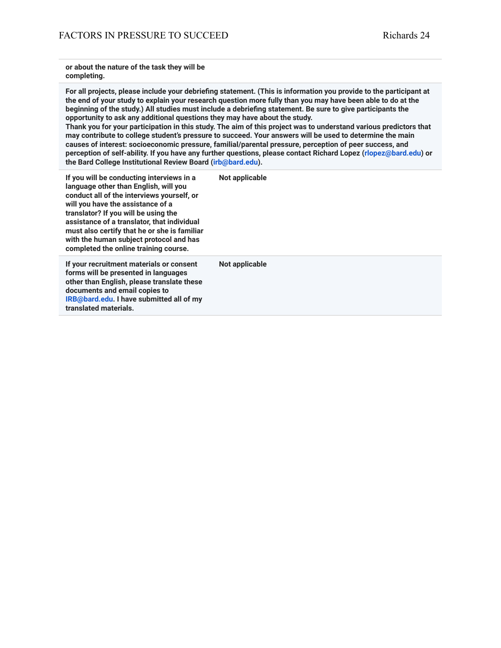**or about the nature of the task they will be completing.**

**For all projects, please include your debriefing statement. (This is information you provide to the participant at the end of your study to explain your research question more fully than you may have been able to do at the beginning of the study.) All studies must include a debriefing statement. Be sure to give participants the opportunity to ask any additional questions they may have about the study.**

**Thank you for your participation in this study. The aim of this project was to understand various predictors that may contribute to college student's pressure to succeed. Your answers will be used to determine the main causes of interest: socioeconomic pressure, familial/parental pressure, perception of peer success, and perception of self-ability. If you have any further questions, please contact Richard Lopez (rlopez@bard.edu) or the Bard College Institutional Review Board (irb@bard.edu).**

**If you will be conducting interviews in a language other than English, will you conduct all of the interviews yourself, or will you have the assistance of a translator? If you will be using the assistance of a translator, that individual must also certify that he or she is familiar with the human subject protocol and has completed the online training course. Not applicable If your recruitment materials or consent forms will be presented in languages other than English, please translate these documents and email copies to IRB@bard.edu. I have submitted all of my translated materials. Not applicable**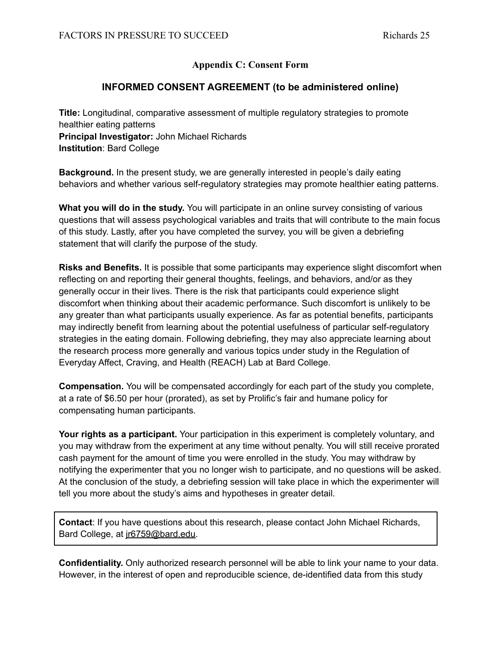## **Appendix C: Consent Form**

## **INFORMED CONSENT AGREEMENT (to be administered online)**

**Title:** Longitudinal, comparative assessment of multiple regulatory strategies to promote healthier eating patterns **Principal Investigator:** John Michael Richards **Institution**: Bard College

**Background.** In the present study, we are generally interested in people's daily eating behaviors and whether various self-regulatory strategies may promote healthier eating patterns.

**What you will do in the study.** You will participate in an online survey consisting of various questions that will assess psychological variables and traits that will contribute to the main focus of this study. Lastly, after you have completed the survey, you will be given a debriefing statement that will clarify the purpose of the study.

**Risks and Benefits.** It is possible that some participants may experience slight discomfort when reflecting on and reporting their general thoughts, feelings, and behaviors, and/or as they generally occur in their lives. There is the risk that participants could experience slight discomfort when thinking about their academic performance. Such discomfort is unlikely to be any greater than what participants usually experience. As far as potential benefits, participants may indirectly benefit from learning about the potential usefulness of particular self-regulatory strategies in the eating domain. Following debriefing, they may also appreciate learning about the research process more generally and various topics under study in the Regulation of Everyday Affect, Craving, and Health (REACH) Lab at Bard College.

**Compensation.** You will be compensated accordingly for each part of the study you complete, at a rate of \$6.50 per hour (prorated), as set by Prolific's fair and humane policy for compensating human participants.

**Your rights as a participant.** Your participation in this experiment is completely voluntary, and you may withdraw from the experiment at any time without penalty. You will still receive prorated cash payment for the amount of time you were enrolled in the study. You may withdraw by notifying the experimenter that you no longer wish to participate, and no questions will be asked. At the conclusion of the study, a debriefing session will take place in which the experimenter will tell you more about the study's aims and hypotheses in greater detail.

**Contact**: If you have questions about this research, please contact John Michael Richards, Bard College, at jr6759@bard.edu.

**Confidentiality.** Only authorized research personnel will be able to link your name to your data. However, in the interest of open and reproducible science, de-identified data from this study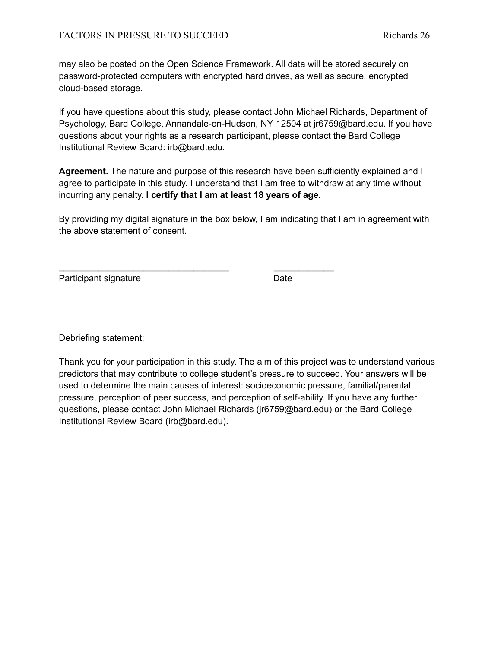may also be posted on the Open Science Framework. All data will be stored securely on password-protected computers with encrypted hard drives, as well as secure, encrypted cloud-based storage.

If you have questions about this study, please contact John Michael Richards, Department of Psychology, Bard College, Annandale-on-Hudson, NY 12504 at jr6759@bard.edu. If you have questions about your rights as a research participant, please contact the Bard College Institutional Review Board: irb@bard.edu.

**Agreement.** The nature and purpose of this research have been sufficiently explained and I agree to participate in this study. I understand that I am free to withdraw at any time without incurring any penalty. **I certify that I am at least 18 years of age.**

By providing my digital signature in the box below, I am indicating that I am in agreement with the above statement of consent.

\_\_\_\_\_\_\_\_\_\_\_\_\_\_\_\_\_\_\_\_\_\_\_\_\_\_\_\_\_\_\_\_\_\_ \_\_\_\_\_\_\_\_\_\_\_\_

Participant signature Date

Debriefing statement:

Thank you for your participation in this study. The aim of this project was to understand various predictors that may contribute to college student's pressure to succeed. Your answers will be used to determine the main causes of interest: socioeconomic pressure, familial/parental pressure, perception of peer success, and perception of self-ability. If you have any further questions, please contact John Michael Richards (jr6759@bard.edu) or the Bard College Institutional Review Board (irb@bard.edu).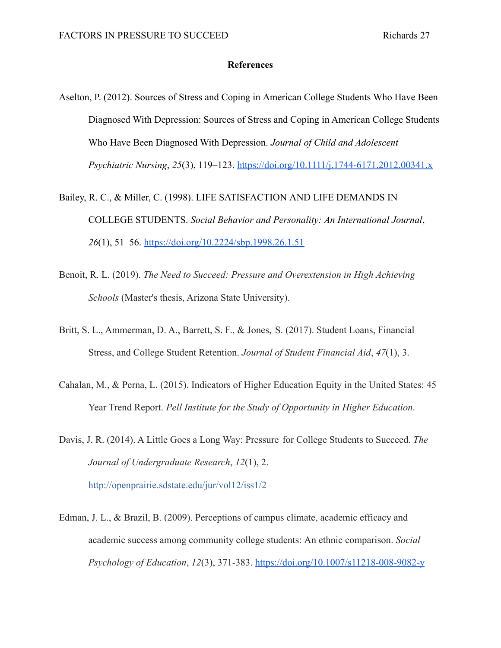#### **References**

- Aselton, P. (2012). Sources of Stress and Coping in American College Students Who Have Been Diagnosed With Depression: Sources of Stress and Coping in American College Students Who Have Been Diagnosed With Depression. *Journal of Child and Adolescent Psychiatric Nursing*, *25*(3), 119–123. <https://doi.org/10.1111/j.1744-6171.2012.00341.x>
- Bailey, R. C., & Miller, C. (1998). LIFE SATISFACTION AND LIFE DEMANDS IN COLLEGE STUDENTS. *Social Behavior and Personality: An International Journal*, *26*(1), 51–56. <https://doi.org/10.2224/sbp.1998.26.1.51>
- Benoit, R. L. (2019). *The Need to Succeed: Pressure and Overextension in High Achieving Schools* (Master's thesis, Arizona State University).
- Britt, S. L., Ammerman, D. A., Barrett, S. F., & Jones, S. (2017). Student Loans, Financial Stress, and College Student Retention. *Journal of Student Financial Aid*, *47*(1), 3.
- Cahalan, M., & Perna, L. (2015). Indicators of Higher Education Equity in the United States: 45 Year Trend Report. *Pell Institute for the Study of Opportunity in Higher Education*.

Davis, J. R. (2014). A Little Goes a Long Way: Pressure for College Students to Succeed. *The Journal of Undergraduate Research*, *12*(1), 2. http://openprairie.sdstate.edu/jur/vol12/iss1/2

Edman, J. L., & Brazil, B. (2009). Perceptions of campus climate, academic efficacy and academic success among community college students: An ethnic comparison. *Social Psychology of Education*, *12*(3), 371-383. <https://doi.org/10.1007/s11218-008-9082-y>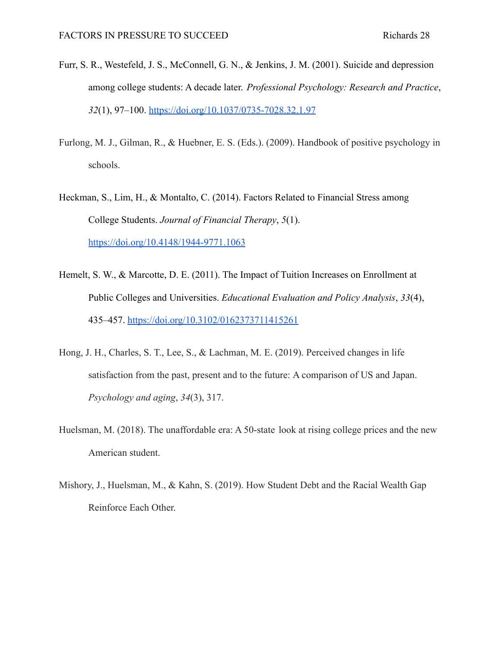- Furr, S. R., Westefeld, J. S., McConnell, G. N., & Jenkins, J. M. (2001). Suicide and depression among college students: A decade later. *Professional Psychology: Research and Practice*, *32*(1), 97–100. <https://doi.org/10.1037/0735-7028.32.1.97>
- Furlong, M. J., Gilman, R., & Huebner, E. S. (Eds.). (2009). Handbook of positive psychology in schools.
- Heckman, S., Lim, H., & Montalto, C. (2014). Factors Related to Financial Stress among College Students. *Journal of Financial Therapy*, *5*(1). <https://doi.org/10.4148/1944-9771.1063>
- Hemelt, S. W., & Marcotte, D. E. (2011). The Impact of Tuition Increases on Enrollment at Public Colleges and Universities. *Educational Evaluation and Policy Analysis*, *33*(4), 435–457. <https://doi.org/10.3102/0162373711415261>
- Hong, J. H., Charles, S. T., Lee, S., & Lachman, M. E. (2019). Perceived changes in life satisfaction from the past, present and to the future: A comparison of US and Japan. *Psychology and aging*, *34*(3), 317.
- Huelsman, M. (2018). The unaffordable era: A 50-state look at rising college prices and the new American student.
- Mishory, J., Huelsman, M., & Kahn, S. (2019). How Student Debt and the Racial Wealth Gap Reinforce Each Other.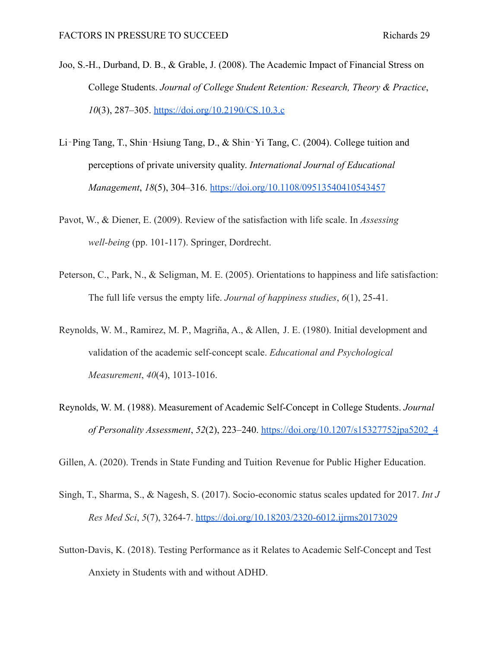- Joo, S.-H., Durband, D. B., & Grable, J. (2008). The Academic Impact of Financial Stress on College Students. *Journal of College Student Retention: Research, Theory & Practice*, *10*(3), 287–305. <https://doi.org/10.2190/CS.10.3.c>
- Li‐Ping Tang, T., Shin‐Hsiung Tang, D., & Shin‐Yi Tang, C. (2004). College tuition and perceptions of private university quality. *International Journal of Educational Management*, *18*(5), 304–316. <https://doi.org/10.1108/09513540410543457>
- Pavot, W., & Diener, E. (2009). Review of the satisfaction with life scale. In *Assessing well-being* (pp. 101-117). Springer, Dordrecht.
- Peterson, C., Park, N., & Seligman, M. E. (2005). Orientations to happiness and life satisfaction: The full life versus the empty life. *Journal of happiness studies*, *6*(1), 25-41.
- Reynolds, W. M., Ramirez, M. P., Magriña, A., & Allen, J. E. (1980). Initial development and validation of the academic self-concept scale. *Educational and Psychological Measurement*, *40*(4), 1013-1016.
- Reynolds, W. M. (1988). Measurement of Academic Self-Concept in College Students. *Journal of Personality Assessment*, *52*(2), 223–240. [https://doi.org/10.1207/s15327752jpa5202\\_4](https://doi.org/10.1207/s15327752jpa5202_4)

Gillen, A. (2020). Trends in State Funding and Tuition Revenue for Public Higher Education.

- Singh, T., Sharma, S., & Nagesh, S. (2017). Socio-economic status scales updated for 2017. *Int J Res Med Sci*, *5*(7), 3264-7. <https://doi.org/10.18203/2320-6012.ijrms20173029>
- Sutton-Davis, K. (2018). Testing Performance as it Relates to Academic Self-Concept and Test Anxiety in Students with and without ADHD.